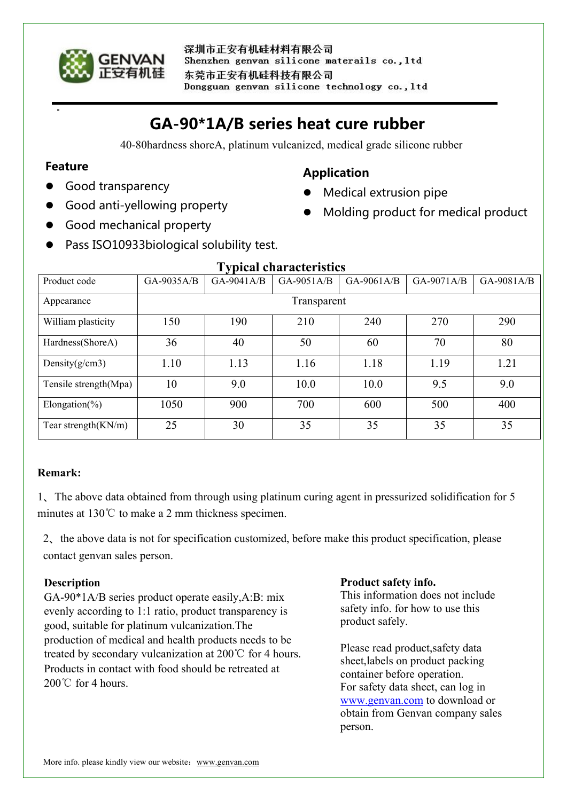

# **GA-90\*1A/B series heat cure rubber**

40-80hardness shoreA, platinum vulcanized, medical grade silicone rubber

**Application**

• Medical extrusion pipe

Molding product for medical product

## **Feature**

- Good transparency
- Good anti-yellowing property
- Good mechanical property
- Pass ISO10933biological solubility test.

| 1 y pical chal actei istics |             |              |              |              |              |              |
|-----------------------------|-------------|--------------|--------------|--------------|--------------|--------------|
| Product code                | GA-9035A/B  | $GA-9041A/B$ | $GA-9051A/B$ | $GA-9061A/B$ | $GA-9071A/B$ | $GA-9081A/B$ |
| Appearance                  | Transparent |              |              |              |              |              |
| William plasticity          | 150         | 190          | 210          | 240          | 270          | 290          |
| Hardness(ShoreA)            | 36          | 40           | 50           | 60           | 70           | 80           |
| Density $(g/cm3)$           | 1.10        | 1.13         | 1.16         | 1.18         | 1.19         | 1.21         |
| Tensile strength(Mpa)       | 10          | 9.0          | 10.0         | 10.0         | 9.5          | 9.0          |
| Elongation(%)               | 1050        | 900          | 700          | 600          | 500          | 400          |
| Tear strength $(KN/m)$      | 25          | 30           | 35           | 35           | 35           | 35           |

## **Typical characteristics**

# **Remark:**

1、The above data obtained from through using platinum curing agent in pressurized solidification for 5 minutes at 130℃ to make a 2 mm thickness specimen.

2、the above data is not for specification customized, before make this product specification, please contact genvan sales person.

# **Description**

GA-90\*1A/B series product operate easily,A:B: mix evenly according to 1:1 ratio, product transparency is good, suitable for platinum vulcanization.The production of medical and health products needs to be treated by secondary vulcanization at 200℃ for 4 hours. Products in contact with food should be retreated at 200℃ for 4 hours.

#### **Product safety info.**

This information does not include safety info. for how to use this product safely.

Please read product,safety data sheet,labels on product packing container before operation. For safety data sheet, can log in [www.genvan.com](http://www.genvan.com) to download or obtain from Genvan company sales person.